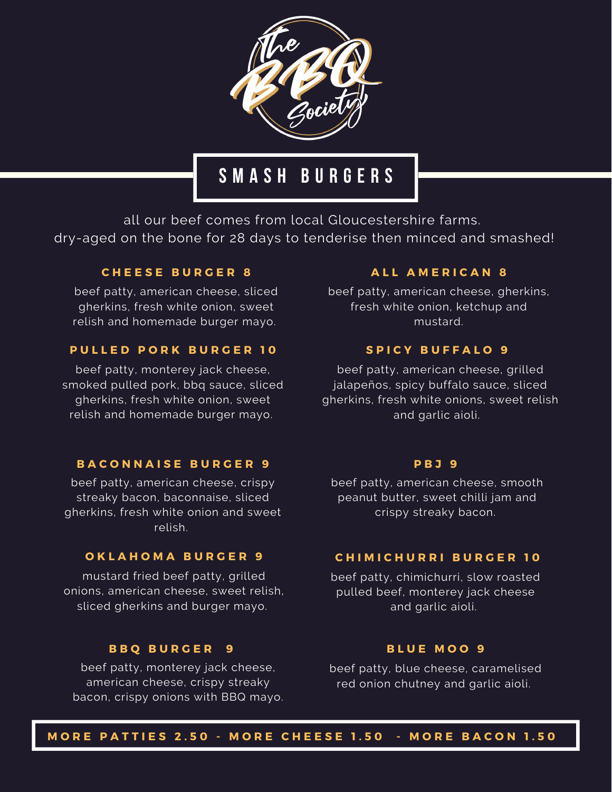

# **S M A S H B U R G E R S**

all our beef comes from local Gloucestershire farms. dry-aged on the bone for 28 days to tenderise then minced and smashed!

### **C H E E S E B U R G E R 8**

beef patty, american cheese, sliced gherkins, fresh white onion, sweet relish and homemade burger mayo.

### **P U L L E D P O R K B U R G E R 1 0**

beef patty, monterey jack cheese, smoked pulled pork, bbq sauce, sliced gherkins, fresh white onion, sweet relish and homemade burger mayo.

### **B A C O N N A I S E B U R G E R 9**

beef patty, american cheese, crispy streaky bacon, baconnaise, sliced gherkins, fresh white onion and sweet relish.

### **O K L A H O M A B U R G E R 9**

mustard fried beef patty, grilled onions, american cheese, sweet relish, sliced gherkins and burger mayo.

#### **B B Q B U R G E R 9**

beef patty, monterey jack cheese, american cheese, crispy streaky bacon, crispy onions with BBQ mayo.

### **A L L A M E R I C A N 8**

beef patty, american cheese, gherkins, fresh white onion, ketchup and mustard.

### **S P I C Y B U F F A L O 9**

beef patty, american cheese, grilled jalapeños, spicy buffalo sauce, sliced gherkins, fresh white onions, sweet relish and garlic aioli.

#### **P B J 9**

beef patty, american cheese, smooth peanut butter, sweet chilli jam and crispy streaky bacon.

### **C H I M I C H U R R I B U R G E R 1 0**

beef patty, chimichurri, slow roasted pulled beef, monterey jack cheese and garlic aioli.

#### **B L U E M O O 9**

beef patty, blue cheese, caramelised red onion chutney and garlic aioli.

MORE PATTIES 2.50 - MORE CHEESE 1.50 - MORE BACON 1.50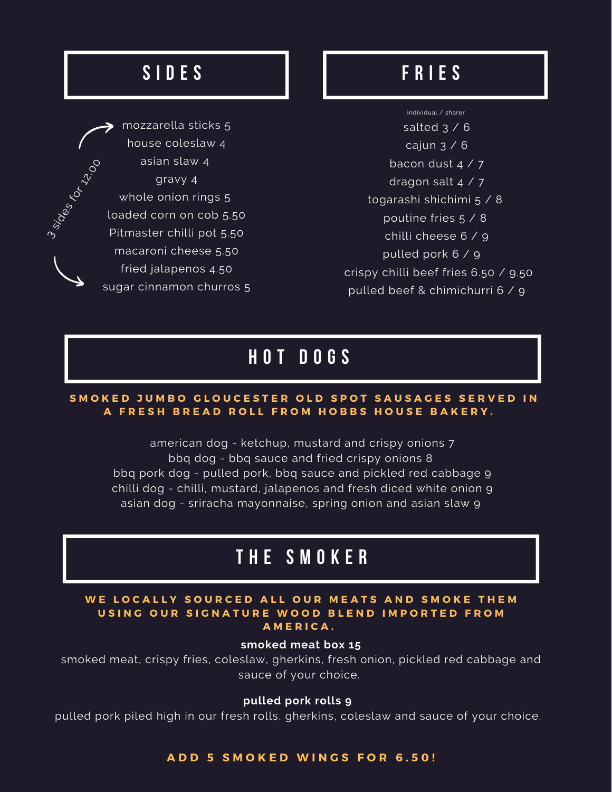# **S I D E S**

mozzarella sticks 5 house coleslaw 4 asian slaw 4 gravy 4 whole onion rings 5 loaded corn on cob 5.50 Pitmaster chilli pot 5.50 macaroni cheese 5.50 fried jalapenos 4.50 sugar cinnamon churros 5  $\zeta$  $\mathcal{E}_{\mathcal{O}_{O}}$ 

 $\infty$ 

sides

### **F R I E S**

individual / sharer salted  $3 / 6$ cajun 3 / 6 bacon dust 4 / 7 dragon salt  $4 / 7$ togarashi shichimi 5 / 8 poutine fries 5 / 8 chilli cheese 6 / 9 pulled pork 6 / 9 crispy chilli beef fries 6.50 / 9.50 pulled beef & chimichurri 6 / 9

# **H O T D O G S**

### SMOKED JUMBO GLOUCESTER OLD SPOT SAUSAGES SERVED IN A FRESH BREAD ROLL FROM HOBBS HOUSE BAKERY.

american dog - ketchup, mustard and crispy onions 7 bbq dog - bbq sauce and fried crispy onions 8 bbq pork dog - pulled pork, bbq sauce and pickled red cabbage 9 chilli dog - chilli, mustard, jalapenos and fresh diced white onion 9 asian dog - sriracha mayonnaise, spring onion and asian slaw 9

# **T H E S M O K E R**

### WE LOCALLY SOURCED ALL OUR MEATS AND SMOKE THEM USING OUR SIGNATURE WOOD BLEND IMPORTED FROM **A M E R I C A .**

### **smoked meat box 15**

smoked meat, crispy fries, coleslaw, gherkins, fresh onion, pickled red cabbage and sauce of your choice.

### **pulled pork rolls 9**

pulled pork piled high in our fresh rolls, gherkins, coleslaw and sauce of your choice.

### **A D D 5 S M O K E D W I N G S F O R 6 . 5 0 !**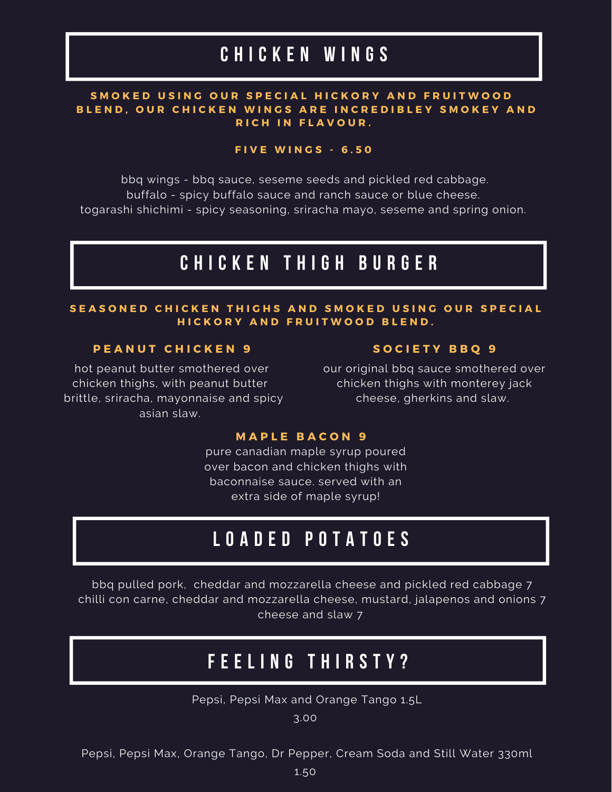# **C H I C K E N W I N G S**

### SMOKED USING OUR SPECIAL HICKORY AND FRUITWOOD BLEND, OUR CHICKEN WINGS ARE INCREDIBLEY SMOKEY AND **R I C H I N F L A V O U R .**

### **F I V E W I N G S - 6 . 5 0**

bbq wings - bbq sauce, seseme seeds and pickled red cabbage. buffalo - spicy buffalo sauce and ranch sauce or blue cheese. togarashi shichimi - spicy seasoning, sriracha mayo, seseme and spring onion.

### **C H I C K E N T H I G H B U R G E R**

### SEASONED CHICKEN THIGHS AND SMOKED USING OUR SPECIAL  $H$  **ICKORY AND FRUITWOOD BLEND.**

### **P E A N U T C H I C K E N 9**

hot peanut butter smothered over chicken thighs, with peanut butter brittle, sriracha, mayonnaise and spicy asian slaw.

#### **S O C I E T Y B B Q 9**

our original bbq sauce smothered over chicken thighs with monterey jack cheese, gherkins and slaw.

### **M A P L E B A C O N 9**

pure canadian maple syrup poured over bacon and chicken thighs with baconnaise sauce. served with an extra side of maple syrup!

# **L O A D E D P O T A T O E S**

bbq pulled pork, cheddar and mozzarella cheese and pickled red cabbage 7 chilli con carne, cheddar and mozzarella cheese, mustard, jalapenos and onions 7 cheese and slaw 7

### **F E E L I N G T H I R S T Y ?**

Pepsi, Pepsi Max and Orange Tango 1.5L

3.00

Pepsi, Pepsi Max, Orange Tango, Dr Pepper, Cream Soda and Still Water 330ml